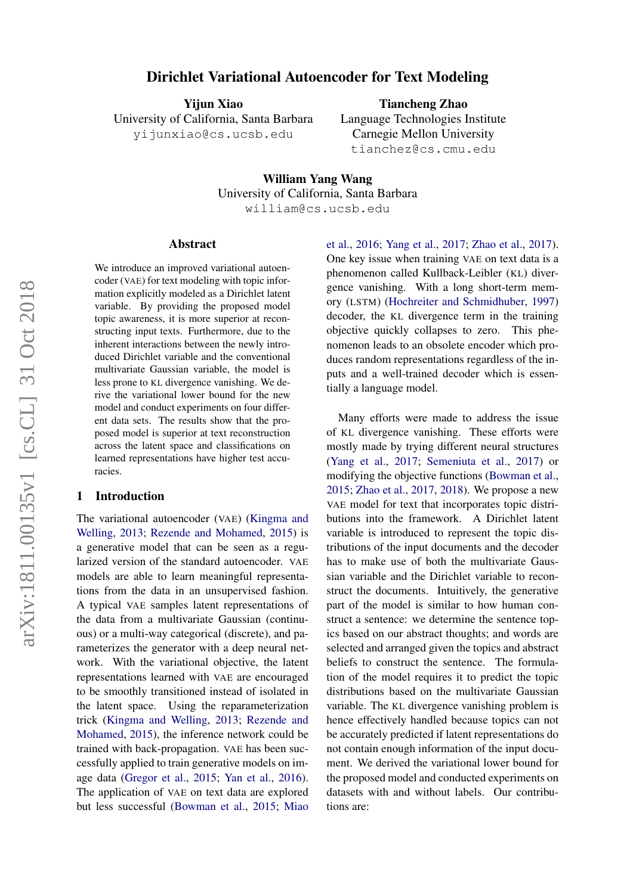# Dirichlet Variational Autoencoder for Text Modeling

Yijun Xiao

University of California, Santa Barbara yijunxiao@cs.ucsb.edu

Tiancheng Zhao Language Technologies Institute Carnegie Mellon University tianchez@cs.cmu.edu

William Yang Wang University of California, Santa Barbara william@cs.ucsb.edu

#### Abstract

We introduce an improved variational autoencoder (VAE) for text modeling with topic information explicitly modeled as a Dirichlet latent variable. By providing the proposed model topic awareness, it is more superior at reconstructing input texts. Furthermore, due to the inherent interactions between the newly introduced Dirichlet variable and the conventional multivariate Gaussian variable, the model is less prone to KL divergence vanishing. We derive the variational lower bound for the new model and conduct experiments on four different data sets. The results show that the proposed model is superior at text reconstruction across the latent space and classifications on learned representations have higher test accuracies.

# 1 Introduction

The variational autoencoder (VAE) [\(Kingma and](#page-8-0) [Welling,](#page-8-0) [2013;](#page-8-0) [Rezende and Mohamed,](#page-9-0) [2015\)](#page-9-0) is a generative model that can be seen as a regularized version of the standard autoencoder. VAE models are able to learn meaningful representations from the data in an unsupervised fashion. A typical VAE samples latent representations of the data from a multivariate Gaussian (continuous) or a multi-way categorical (discrete), and parameterizes the generator with a deep neural network. With the variational objective, the latent representations learned with VAE are encouraged to be smoothly transitioned instead of isolated in the latent space. Using the reparameterization trick [\(Kingma and Welling,](#page-8-0) [2013;](#page-8-0) [Rezende and](#page-9-0) [Mohamed,](#page-9-0) [2015\)](#page-9-0), the inference network could be trained with back-propagation. VAE has been successfully applied to train generative models on image data [\(Gregor et al.,](#page-8-1) [2015;](#page-8-1) [Yan et al.,](#page-9-1) [2016\)](#page-9-1). The application of VAE on text data are explored but less successful [\(Bowman et al.,](#page-8-2) [2015;](#page-8-2) [Miao](#page-9-2)

[et al.,](#page-9-2) [2016;](#page-9-2) [Yang et al.,](#page-9-3) [2017;](#page-9-3) [Zhao et al.,](#page-9-4) [2017\)](#page-9-4). One key issue when training VAE on text data is a phenomenon called Kullback-Leibler (KL) divergence vanishing. With a long short-term memory (LSTM) [\(Hochreiter and Schmidhuber,](#page-8-3) [1997\)](#page-8-3) decoder, the KL divergence term in the training objective quickly collapses to zero. This phenomenon leads to an obsolete encoder which produces random representations regardless of the inputs and a well-trained decoder which is essentially a language model.

Many efforts were made to address the issue of KL divergence vanishing. These efforts were mostly made by trying different neural structures [\(Yang et al.,](#page-9-3) [2017;](#page-9-3) [Semeniuta et al.,](#page-9-5) [2017\)](#page-9-5) or modifying the objective functions [\(Bowman et al.,](#page-8-2) [2015;](#page-8-2) [Zhao et al.,](#page-9-4) [2017,](#page-9-4) [2018\)](#page-9-6). We propose a new VAE model for text that incorporates topic distributions into the framework. A Dirichlet latent variable is introduced to represent the topic distributions of the input documents and the decoder has to make use of both the multivariate Gaussian variable and the Dirichlet variable to reconstruct the documents. Intuitively, the generative part of the model is similar to how human construct a sentence: we determine the sentence topics based on our abstract thoughts; and words are selected and arranged given the topics and abstract beliefs to construct the sentence. The formulation of the model requires it to predict the topic distributions based on the multivariate Gaussian variable. The KL divergence vanishing problem is hence effectively handled because topics can not be accurately predicted if latent representations do not contain enough information of the input document. We derived the variational lower bound for the proposed model and conducted experiments on datasets with and without labels. Our contributions are: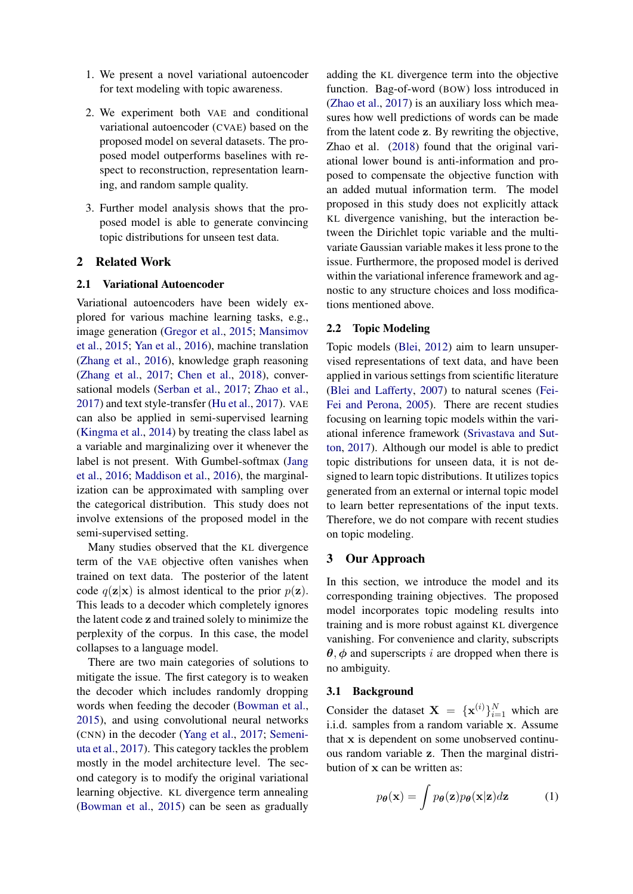- 1. We present a novel variational autoencoder for text modeling with topic awareness.
- 2. We experiment both VAE and conditional variational autoencoder (CVAE) based on the proposed model on several datasets. The proposed model outperforms baselines with respect to reconstruction, representation learning, and random sample quality.
- 3. Further model analysis shows that the proposed model is able to generate convincing topic distributions for unseen test data.

#### 2 Related Work

### 2.1 Variational Autoencoder

Variational autoencoders have been widely explored for various machine learning tasks, e.g., image generation [\(Gregor et al.,](#page-8-1) [2015;](#page-8-1) [Mansimov](#page-9-7) [et al.,](#page-9-7) [2015;](#page-9-7) [Yan et al.,](#page-9-1) [2016\)](#page-9-1), machine translation [\(Zhang et al.,](#page-9-8) [2016\)](#page-9-8), knowledge graph reasoning [\(Zhang et al.,](#page-9-9) [2017;](#page-9-9) [Chen et al.,](#page-8-4) [2018\)](#page-8-4), conversational models [\(Serban et al.,](#page-9-10) [2017;](#page-9-10) [Zhao et al.,](#page-9-4) [2017\)](#page-9-4) and text style-transfer [\(Hu et al.,](#page-8-5) [2017\)](#page-8-5). VAE can also be applied in semi-supervised learning [\(Kingma et al.,](#page-8-6) [2014\)](#page-8-6) by treating the class label as a variable and marginalizing over it whenever the label is not present. With Gumbel-softmax [\(Jang](#page-8-7) [et al.,](#page-8-7) [2016;](#page-8-7) [Maddison et al.,](#page-8-8) [2016\)](#page-8-8), the marginalization can be approximated with sampling over the categorical distribution. This study does not involve extensions of the proposed model in the semi-supervised setting.

Many studies observed that the KL divergence term of the VAE objective often vanishes when trained on text data. The posterior of the latent code  $q(\mathbf{z}|\mathbf{x})$  is almost identical to the prior  $p(\mathbf{z})$ . This leads to a decoder which completely ignores the latent code z and trained solely to minimize the perplexity of the corpus. In this case, the model collapses to a language model.

There are two main categories of solutions to mitigate the issue. The first category is to weaken the decoder which includes randomly dropping words when feeding the decoder [\(Bowman et al.,](#page-8-2) [2015\)](#page-8-2), and using convolutional neural networks (CNN) in the decoder [\(Yang et al.,](#page-9-3) [2017;](#page-9-3) [Semeni](#page-9-5)[uta et al.,](#page-9-5) [2017\)](#page-9-5). This category tackles the problem mostly in the model architecture level. The second category is to modify the original variational learning objective. KL divergence term annealing [\(Bowman et al.,](#page-8-2) [2015\)](#page-8-2) can be seen as gradually

adding the KL divergence term into the objective function. Bag-of-word (BOW) loss introduced in [\(Zhao et al.,](#page-9-4) [2017\)](#page-9-4) is an auxiliary loss which measures how well predictions of words can be made from the latent code z. By rewriting the objective, Zhao et al. [\(2018\)](#page-9-6) found that the original variational lower bound is anti-information and proposed to compensate the objective function with an added mutual information term. The model proposed in this study does not explicitly attack KL divergence vanishing, but the interaction between the Dirichlet topic variable and the multivariate Gaussian variable makes it less prone to the issue. Furthermore, the proposed model is derived within the variational inference framework and agnostic to any structure choices and loss modifications mentioned above.

#### 2.2 Topic Modeling

Topic models [\(Blei,](#page-8-9) [2012\)](#page-8-9) aim to learn unsupervised representations of text data, and have been applied in various settings from scientific literature [\(Blei and Lafferty,](#page-8-10) [2007\)](#page-8-10) to natural scenes [\(Fei-](#page-8-11)[Fei and Perona,](#page-8-11) [2005\)](#page-8-11). There are recent studies focusing on learning topic models within the variational inference framework [\(Srivastava and Sut](#page-9-11)[ton,](#page-9-11) [2017\)](#page-9-11). Although our model is able to predict topic distributions for unseen data, it is not designed to learn topic distributions. It utilizes topics generated from an external or internal topic model to learn better representations of the input texts. Therefore, we do not compare with recent studies on topic modeling.

# 3 Our Approach

In this section, we introduce the model and its corresponding training objectives. The proposed model incorporates topic modeling results into training and is more robust against KL divergence vanishing. For convenience and clarity, subscripts  $\theta$ ,  $\phi$  and superscripts *i* are dropped when there is no ambiguity.

# 3.1 Background

Consider the dataset  $X = \{x^{(i)}\}_{i=1}^N$  which are i.i.d. samples from a random variable x. Assume that x is dependent on some unobserved continuous random variable z. Then the marginal distribution of x can be written as:

$$
p_{\theta}(\mathbf{x}) = \int p_{\theta}(\mathbf{z}) p_{\theta}(\mathbf{x}|\mathbf{z}) d\mathbf{z}
$$
 (1)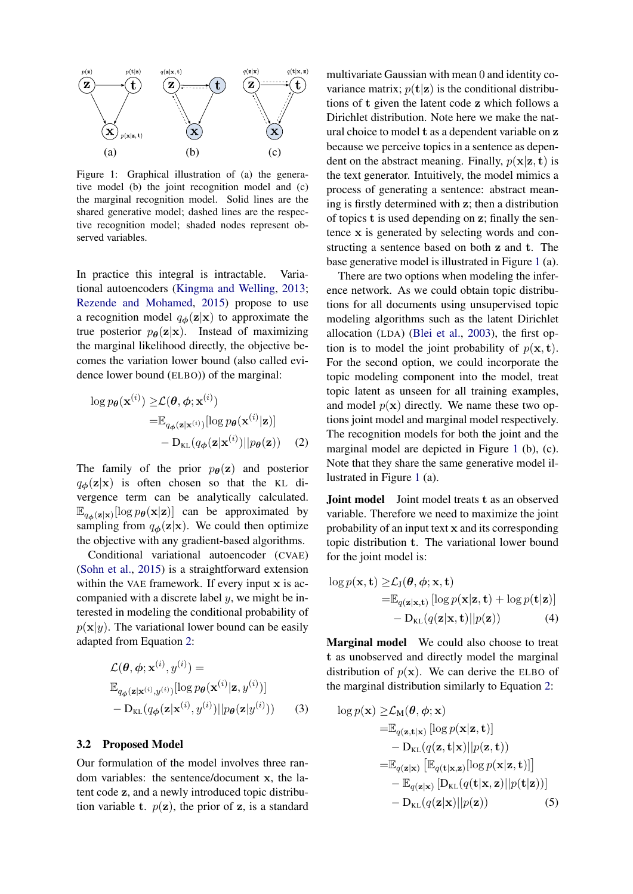<span id="page-2-1"></span>

Figure 1: Graphical illustration of (a) the generative model (b) the joint recognition model and (c) the marginal recognition model. Solid lines are the shared generative model; dashed lines are the respective recognition model; shaded nodes represent observed variables.

In practice this integral is intractable. Variational autoencoders [\(Kingma and Welling,](#page-8-0) [2013;](#page-8-0) [Rezende and Mohamed,](#page-9-0) [2015\)](#page-9-0) propose to use a recognition model  $q_{\phi}(\mathbf{z}|\mathbf{x})$  to approximate the true posterior  $p_{\theta}(\mathbf{z}|\mathbf{x})$ . Instead of maximizing the marginal likelihood directly, the objective becomes the variation lower bound (also called evidence lower bound (ELBO)) of the marginal:

$$
\log p_{\theta}(\mathbf{x}^{(i)}) \geq \mathcal{L}(\theta, \phi; \mathbf{x}^{(i)})
$$
  
=  $\mathbb{E}_{q_{\phi}(\mathbf{z}|\mathbf{x}^{(i)})}[\log p_{\theta}(\mathbf{x}^{(i)}|\mathbf{z})]$   
-  $D_{\text{KL}}(q_{\phi}(\mathbf{z}|\mathbf{x}^{(i)})||p_{\theta}(\mathbf{z}))$  (2)

The family of the prior  $p_{\theta}(\mathbf{z})$  and posterior  $q_{\phi}(z|x)$  is often chosen so that the KL divergence term can be analytically calculated.  $\mathbb{E}_{q_{\phi}(\mathbf{z}|\mathbf{x})}[\log p_{\theta}(\mathbf{x}|\mathbf{z})]$  can be approximated by sampling from  $q_{\phi}(\mathbf{z}|\mathbf{x})$ . We could then optimize the objective with any gradient-based algorithms.

Conditional variational autoencoder (CVAE) [\(Sohn et al.,](#page-9-12) [2015\)](#page-9-12) is a straightforward extension within the VAE framework. If every input x is accompanied with a discrete label  $y$ , we might be interested in modeling the conditional probability of  $p(\mathbf{x}|y)$ . The variational lower bound can be easily adapted from Equation [2:](#page-2-0)

$$
\mathcal{L}(\boldsymbol{\theta}, \boldsymbol{\phi}; \mathbf{x}^{(i)}, y^{(i)}) = \mathbb{E}_{q_{\boldsymbol{\phi}}(\mathbf{z}|\mathbf{x}^{(i)}, y^{(i)})}[\log p_{\boldsymbol{\theta}}(\mathbf{x}^{(i)}|\mathbf{z}, y^{(i)})] - \mathbf{D}_{\text{KL}}(q_{\boldsymbol{\phi}}(\mathbf{z}|\mathbf{x}^{(i)}, y^{(i)})||p_{\boldsymbol{\theta}}(\mathbf{z}|y^{(i)})) \qquad (3)
$$

#### 3.2 Proposed Model

Our formulation of the model involves three random variables: the sentence/document x, the latent code z, and a newly introduced topic distribution variable t.  $p(\mathbf{z})$ , the prior of  $\mathbf{z}$ , is a standard

multivariate Gaussian with mean 0 and identity covariance matrix;  $p(\mathbf{t}|\mathbf{z})$  is the conditional distributions of t given the latent code z which follows a Dirichlet distribution. Note here we make the natural choice to model t as a dependent variable on z because we perceive topics in a sentence as dependent on the abstract meaning. Finally,  $p(x|z, t)$  is the text generator. Intuitively, the model mimics a process of generating a sentence: abstract meaning is firstly determined with z; then a distribution of topics t is used depending on z; finally the sentence x is generated by selecting words and constructing a sentence based on both z and t. The base generative model is illustrated in Figure [1](#page-2-1) (a).

There are two options when modeling the inference network. As we could obtain topic distributions for all documents using unsupervised topic modeling algorithms such as the latent Dirichlet allocation (LDA) [\(Blei et al.,](#page-8-12) [2003\)](#page-8-12), the first option is to model the joint probability of  $p(x, t)$ . For the second option, we could incorporate the topic modeling component into the model, treat topic latent as unseen for all training examples, and model  $p(x)$  directly. We name these two options joint model and marginal model respectively. The recognition models for both the joint and the marginal model are depicted in Figure [1](#page-2-1) (b), (c). Note that they share the same generative model illustrated in Figure [1](#page-2-1) (a).

<span id="page-2-0"></span>**Joint model** Joint model treats **t** as an observed variable. Therefore we need to maximize the joint probability of an input text x and its corresponding topic distribution t. The variational lower bound for the joint model is:

$$
\log p(\mathbf{x}, \mathbf{t}) \geq \mathcal{L}_{\mathbf{J}}(\boldsymbol{\theta}, \boldsymbol{\phi}; \mathbf{x}, \mathbf{t})
$$
  
=  $\mathbb{E}_{q(\mathbf{z}|\mathbf{x}, \mathbf{t})} [\log p(\mathbf{x}|\mathbf{z}, \mathbf{t}) + \log p(\mathbf{t}|\mathbf{z})]$   
-  $\mathbf{D}_{\mathbf{KL}}(q(\mathbf{z}|\mathbf{x}, \mathbf{t}) || p(\mathbf{z}))$  (4)

Marginal model We could also choose to treat t as unobserved and directly model the marginal distribution of  $p(x)$ . We can derive the ELBO of the marginal distribution similarly to Equation [2:](#page-2-0)

$$
\log p(\mathbf{x}) \geq \mathcal{L}_{\mathbf{M}}(\boldsymbol{\theta}, \boldsymbol{\phi}; \mathbf{x})
$$
\n
$$
= \mathbb{E}_{q(\mathbf{z}, \mathbf{t}|\mathbf{x})} [\log p(\mathbf{x}|\mathbf{z}, \mathbf{t})]
$$
\n
$$
- \mathbf{D}_{\mathbf{KL}}(q(\mathbf{z}, \mathbf{t}|\mathbf{x})||p(\mathbf{z}, \mathbf{t}))
$$
\n
$$
= \mathbb{E}_{q(\mathbf{z}|\mathbf{x})} [\mathbb{E}_{q(\mathbf{t}|\mathbf{x}, \mathbf{z})} [\log p(\mathbf{x}|\mathbf{z}, \mathbf{t})]]
$$
\n
$$
- \mathbb{E}_{q(\mathbf{z}|\mathbf{x})} [\mathbf{D}_{\mathbf{KL}}(q(\mathbf{t}|\mathbf{x}, \mathbf{z})||p(\mathbf{t}|\mathbf{z}))]
$$
\n
$$
- \mathbf{D}_{\mathbf{KL}}(q(\mathbf{z}|\mathbf{x})||p(\mathbf{z})) \tag{5}
$$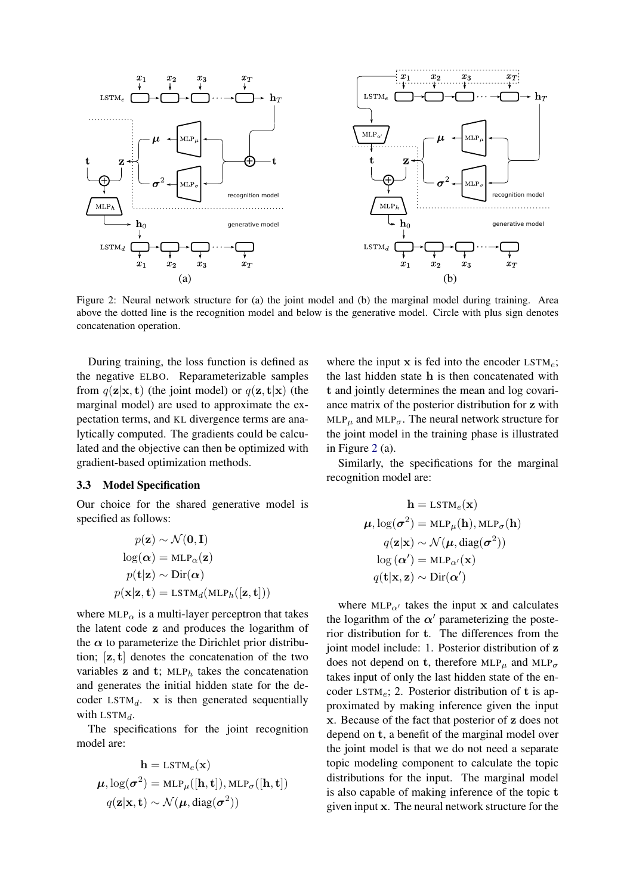<span id="page-3-0"></span>

Figure 2: Neural network structure for (a) the joint model and (b) the marginal model during training. Area above the dotted line is the recognition model and below is the generative model. Circle with plus sign denotes concatenation operation.

During training, the loss function is defined as the negative ELBO. Reparameterizable samples from  $q(\mathbf{z}|\mathbf{x}, \mathbf{t})$  (the joint model) or  $q(\mathbf{z}, \mathbf{t}|\mathbf{x})$  (the marginal model) are used to approximate the expectation terms, and KL divergence terms are analytically computed. The gradients could be calculated and the objective can then be optimized with gradient-based optimization methods.

# 3.3 Model Specification

Our choice for the shared generative model is specified as follows:

$$
p(\mathbf{z}) \sim \mathcal{N}(\mathbf{0}, \mathbf{I})
$$

$$
\log(\boldsymbol{\alpha}) = \text{MLP}_{\alpha}(\mathbf{z})
$$

$$
p(\mathbf{t}|\mathbf{z}) \sim \text{Dir}(\boldsymbol{\alpha})
$$

$$
p(\mathbf{x}|\mathbf{z}, \mathbf{t}) = \text{LSTM}_{d}(\text{MLP}_{h}([\mathbf{z}, \mathbf{t}]))
$$

where  $MLP_{\alpha}$  is a multi-layer perceptron that takes the latent code z and produces the logarithm of the  $\alpha$  to parameterize the Dirichlet prior distribution;  $[z, t]$  denotes the concatenation of the two variables  $z$  and  $t$ ; MLP<sub>h</sub> takes the concatenation and generates the initial hidden state for the decoder  $LSTM_d$ . x is then generated sequentially with  $LSTM_d$ .

The specifications for the joint recognition model are:

$$
\mathbf{h} = \text{LSTM}_e(\mathbf{x})
$$

$$
\boldsymbol{\mu}, \log(\boldsymbol{\sigma}^2) = \text{MLP}_{\mu}([\mathbf{h}, \mathbf{t}]), \text{MLP}_{\sigma}([\mathbf{h}, \mathbf{t}])
$$

$$
q(\mathbf{z}|\mathbf{x}, \mathbf{t}) \sim \mathcal{N}(\boldsymbol{\mu}, \text{diag}(\boldsymbol{\sigma}^2))
$$

where the input  $x$  is fed into the encoder  $LSTM_e$ ; the last hidden state h is then concatenated with t and jointly determines the mean and log covariance matrix of the posterior distribution for z with MLP<sub> $\mu$ </sub> and MLP<sub> $\sigma$ </sub>. The neural network structure for the joint model in the training phase is illustrated in Figure [2](#page-3-0) (a).

Similarly, the specifications for the marginal recognition model are:

$$
\mathbf{h} = \text{LSTM}_e(\mathbf{x})
$$

$$
\boldsymbol{\mu}, \log(\boldsymbol{\sigma}^2) = \text{MLP}_{\mu}(\mathbf{h}), \text{MLP}_{\sigma}(\mathbf{h})
$$

$$
q(\mathbf{z}|\mathbf{x}) \sim \mathcal{N}(\boldsymbol{\mu}, \text{diag}(\boldsymbol{\sigma}^2))
$$

$$
\log(\boldsymbol{\alpha}') = \text{MLP}_{\alpha'}(\mathbf{x})
$$

$$
q(\mathbf{t}|\mathbf{x}, \mathbf{z}) \sim \text{Dir}(\boldsymbol{\alpha}')
$$

where  $MLP_{\alpha}$  takes the input x and calculates the logarithm of the  $\alpha'$  parameterizing the posterior distribution for t. The differences from the joint model include: 1. Posterior distribution of z does not depend on t, therefore  $MLP_{\mu}$  and  $MLP_{\sigma}$ takes input of only the last hidden state of the encoder  $LSTM_e$ ; 2. Posterior distribution of t is approximated by making inference given the input x. Because of the fact that posterior of z does not depend on t, a benefit of the marginal model over the joint model is that we do not need a separate topic modeling component to calculate the topic distributions for the input. The marginal model is also capable of making inference of the topic t given input x. The neural network structure for the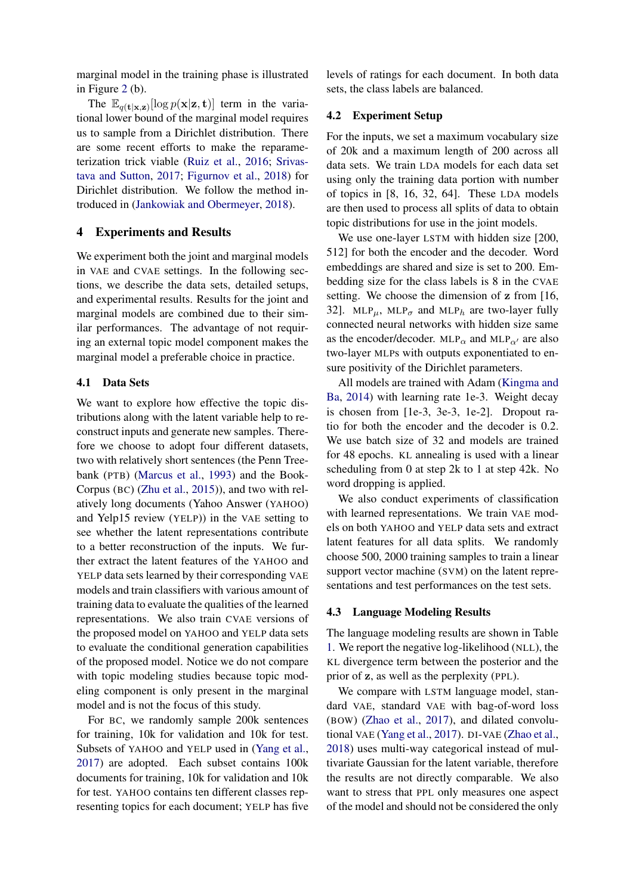marginal model in the training phase is illustrated in Figure [2](#page-3-0) (b).

The  $\mathbb{E}_{q(\mathbf{t}|\mathbf{x},\mathbf{z})}[\log p(\mathbf{x}|\mathbf{z},\mathbf{t})]$  term in the variational lower bound of the marginal model requires us to sample from a Dirichlet distribution. There are some recent efforts to make the reparameterization trick viable [\(Ruiz et al.,](#page-9-13) [2016;](#page-9-13) [Srivas](#page-9-11)[tava and Sutton,](#page-9-11) [2017;](#page-9-11) [Figurnov et al.,](#page-8-13) [2018\)](#page-8-13) for Dirichlet distribution. We follow the method introduced in [\(Jankowiak and Obermeyer,](#page-8-14) [2018\)](#page-8-14).

# 4 Experiments and Results

We experiment both the joint and marginal models in VAE and CVAE settings. In the following sections, we describe the data sets, detailed setups, and experimental results. Results for the joint and marginal models are combined due to their similar performances. The advantage of not requiring an external topic model component makes the marginal model a preferable choice in practice.

# 4.1 Data Sets

We want to explore how effective the topic distributions along with the latent variable help to reconstruct inputs and generate new samples. Therefore we choose to adopt four different datasets, two with relatively short sentences (the Penn Treebank (PTB) [\(Marcus et al.,](#page-9-14) [1993\)](#page-9-14) and the Book-Corpus (BC) [\(Zhu et al.,](#page-9-15) [2015\)](#page-9-15)), and two with relatively long documents (Yahoo Answer (YAHOO) and Yelp15 review (YELP)) in the VAE setting to see whether the latent representations contribute to a better reconstruction of the inputs. We further extract the latent features of the YAHOO and YELP data sets learned by their corresponding VAE models and train classifiers with various amount of training data to evaluate the qualities of the learned representations. We also train CVAE versions of the proposed model on YAHOO and YELP data sets to evaluate the conditional generation capabilities of the proposed model. Notice we do not compare with topic modeling studies because topic modeling component is only present in the marginal model and is not the focus of this study.

For BC, we randomly sample 200k sentences for training, 10k for validation and 10k for test. Subsets of YAHOO and YELP used in [\(Yang et al.,](#page-9-3) [2017\)](#page-9-3) are adopted. Each subset contains 100k documents for training, 10k for validation and 10k for test. YAHOO contains ten different classes representing topics for each document; YELP has five

levels of ratings for each document. In both data sets, the class labels are balanced.

#### 4.2 Experiment Setup

For the inputs, we set a maximum vocabulary size of 20k and a maximum length of 200 across all data sets. We train LDA models for each data set using only the training data portion with number of topics in [8, 16, 32, 64]. These LDA models are then used to process all splits of data to obtain topic distributions for use in the joint models.

We use one-layer LSTM with hidden size [200, 512] for both the encoder and the decoder. Word embeddings are shared and size is set to 200. Embedding size for the class labels is 8 in the CVAE setting. We choose the dimension of z from [16, 32]. MLP<sub>u</sub>, MLP<sub> $\sigma$ </sub> and MLP<sub>h</sub> are two-layer fully connected neural networks with hidden size same as the encoder/decoder. MLP<sub> $\alpha$ </sub> and MLP<sub> $\alpha$ </sub> are also two-layer MLPs with outputs exponentiated to ensure positivity of the Dirichlet parameters.

All models are trained with Adam [\(Kingma and](#page-8-15) [Ba,](#page-8-15) [2014\)](#page-8-15) with learning rate 1e-3. Weight decay is chosen from [1e-3, 3e-3, 1e-2]. Dropout ratio for both the encoder and the decoder is 0.2. We use batch size of 32 and models are trained for 48 epochs. KL annealing is used with a linear scheduling from 0 at step 2k to 1 at step 42k. No word dropping is applied.

We also conduct experiments of classification with learned representations. We train VAE models on both YAHOO and YELP data sets and extract latent features for all data splits. We randomly choose 500, 2000 training samples to train a linear support vector machine (SVM) on the latent representations and test performances on the test sets.

#### 4.3 Language Modeling Results

The language modeling results are shown in Table [1.](#page-5-0) We report the negative log-likelihood (NLL), the KL divergence term between the posterior and the prior of z, as well as the perplexity (PPL).

We compare with LSTM language model, standard VAE, standard VAE with bag-of-word loss (BOW) [\(Zhao et al.,](#page-9-4) [2017\)](#page-9-4), and dilated convolutional VAE [\(Yang et al.,](#page-9-3) [2017\)](#page-9-3). DI-VAE [\(Zhao et al.,](#page-9-6) [2018\)](#page-9-6) uses multi-way categorical instead of multivariate Gaussian for the latent variable, therefore the results are not directly comparable. We also want to stress that PPL only measures one aspect of the model and should not be considered the only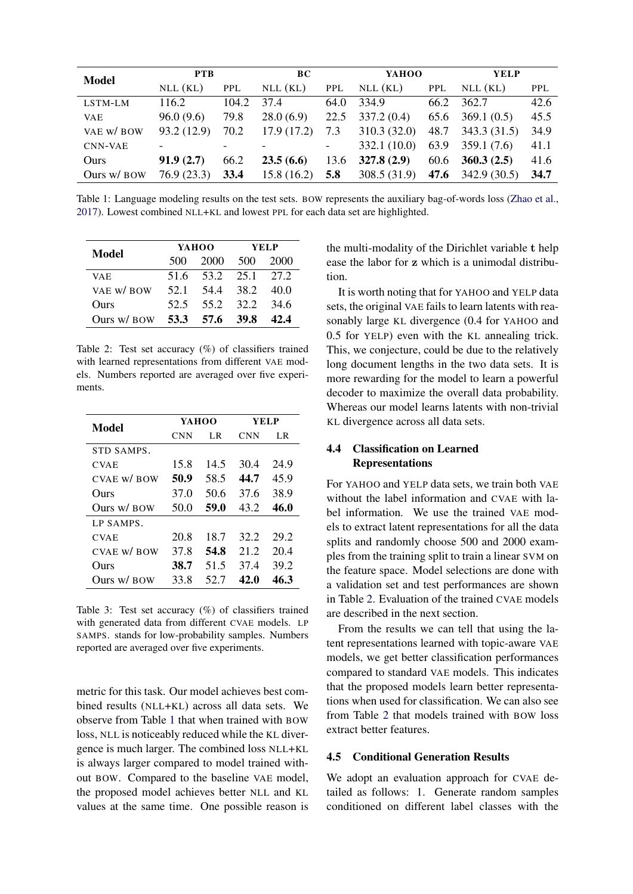<span id="page-5-0"></span>

| <b>Model</b>   | <b>PTB</b>  |            | <b>BC</b>  |                          | YAHOO       |            | <b>YELP</b>         |            |
|----------------|-------------|------------|------------|--------------------------|-------------|------------|---------------------|------------|
|                | NLL(KL)     | <b>PPL</b> | $NLL$ (KL) | <b>PPL</b>               | $NLL$ (KL)  | <b>PPL</b> | NLL(KL)             | <b>PPL</b> |
| LSTM-LM        | 116.2       | 104.2      | 37.4       | 64.0                     | 334.9       |            | 66.2 362.7          | 42.6       |
| <b>VAE</b>     | 96.0(9.6)   | 79.8       | 28.0(6.9)  | 22.5                     | 337.2(0.4)  | 65.6       | 369.1(0.5)          | 45.5       |
| VAE W/BOW      | 93.2 (12.9) | 70.2       | 17.9(17.2) | 7.3                      | 310.3(32.0) |            | 48.7 343.3 (31.5)   | 34.9       |
| <b>CNN-VAE</b> |             |            |            | $\overline{\phantom{a}}$ | 332.1(10.0) |            | $63.9$ $359.1(7.6)$ | 41.1       |
| Ours           | 91.9(2.7)   | 66.2       | 23.5(6.6)  | 13.6                     | 327.8(2.9)  | 60.6       | 360.3(2.5)          | 41.6       |
| Ours w/ BOW    | 76.9(23.3)  | 33.4       | 15.8(16.2) | 5.8                      | 308.5(31.9) |            | 47.6 $342.9(30.5)$  | 34.7       |

Table 1: Language modeling results on the test sets. BOW represents the auxiliary bag-of-words loss [\(Zhao et al.,](#page-9-4) [2017\)](#page-9-4). Lowest combined NLL+KL and lowest PPL for each data set are highlighted.

<span id="page-5-1"></span>

| Model                      |       | YAHOO               | <b>YELP</b> |       |  |
|----------------------------|-------|---------------------|-------------|-------|--|
|                            | 500 - | 2000 500            |             | -2000 |  |
| VA E                       |       | 51.6 53.2 25.1 27.2 |             |       |  |
| VAE W/BOW                  |       | 52.1 54.4 38.2 40.0 |             |       |  |
| Ours                       |       | 52.5 55.2 32.2 34.6 |             |       |  |
| Ours w/ BOW 53.3 57.6 39.8 |       |                     |             | 42.4  |  |

Table 2: Test set accuracy (%) of classifiers trained with learned representations from different VAE models. Numbers reported are averaged over five experiments.

<span id="page-5-2"></span>

| Model           | YAHOO      |      | YEL P      |      |  |
|-----------------|------------|------|------------|------|--|
|                 | <b>CNN</b> | LR.  | <b>CNN</b> | LR.  |  |
| STD SAMPS.      |            |      |            |      |  |
| <b>CVAE</b>     | 15.8       | 14.5 | 30.4       | 24.9 |  |
| $CVAE$ w/ $BOW$ | 50.9       | 58.5 | 44.7       | 45.9 |  |
| Ours            | 37.0       | 50.6 | 37.6       | 38.9 |  |
| Ours w/ BOW     | 50.0       | 59.0 | 43.2       | 46.0 |  |
| LP SAMPS.       |            |      |            |      |  |
| <b>CVAE</b>     | 20.8       | 18.7 | 32.2       | 29.2 |  |
| $CVAE$ w/ $BOW$ | 37.8       | 54.8 | 21.2       | 20.4 |  |
| Ours            | 38.7       | 51.5 | 37.4       | 39.2 |  |
| Ours w/ BOW     | 33.8       | 52.7 | 42.0       | 46.3 |  |

Table 3: Test set accuracy (%) of classifiers trained with generated data from different CVAE models. LP SAMPS. stands for low-probability samples. Numbers reported are averaged over five experiments.

metric for this task. Our model achieves best combined results (NLL+KL) across all data sets. We observe from Table [1](#page-5-0) that when trained with BOW loss, NLL is noticeably reduced while the KL divergence is much larger. The combined loss NLL+KL is always larger compared to model trained without BOW. Compared to the baseline VAE model, the proposed model achieves better NLL and KL values at the same time. One possible reason is the multi-modality of the Dirichlet variable t help ease the labor for z which is a unimodal distribution.

It is worth noting that for YAHOO and YELP data sets, the original VAE fails to learn latents with reasonably large KL divergence (0.4 for YAHOO and 0.5 for YELP) even with the KL annealing trick. This, we conjecture, could be due to the relatively long document lengths in the two data sets. It is more rewarding for the model to learn a powerful decoder to maximize the overall data probability. Whereas our model learns latents with non-trivial KL divergence across all data sets.

# 4.4 Classification on Learned Representations

For YAHOO and YELP data sets, we train both VAE without the label information and CVAE with label information. We use the trained VAE models to extract latent representations for all the data splits and randomly choose 500 and 2000 examples from the training split to train a linear SVM on the feature space. Model selections are done with a validation set and test performances are shown in Table [2.](#page-5-1) Evaluation of the trained CVAE models are described in the next section.

From the results we can tell that using the latent representations learned with topic-aware VAE models, we get better classification performances compared to standard VAE models. This indicates that the proposed models learn better representations when used for classification. We can also see from Table [2](#page-5-1) that models trained with BOW loss extract better features.

# 4.5 Conditional Generation Results

We adopt an evaluation approach for CVAE detailed as follows: 1. Generate random samples conditioned on different label classes with the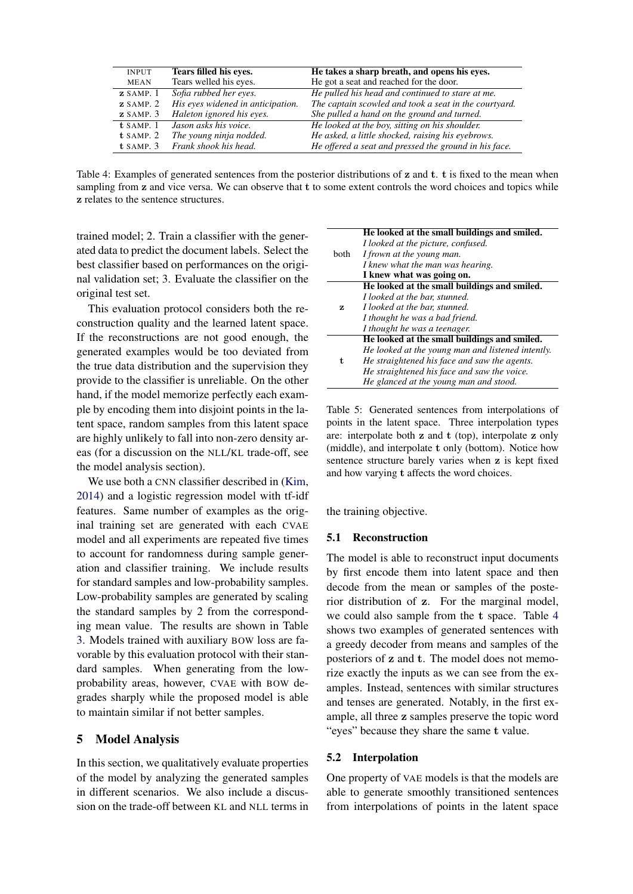<span id="page-6-0"></span>

| <b>INPUT</b>                            | Tears filled his eves.            | He takes a sharp breath, and opens his eyes.          |
|-----------------------------------------|-----------------------------------|-------------------------------------------------------|
| <b>MEAN</b>                             | Tears welled his eyes.            | He got a seat and reached for the door.               |
| $\boldsymbol{z}$ SAMP. 1                | Sofia rubbed her eyes.            | He pulled his head and continued to stare at me.      |
| $\boldsymbol{z}$ SAMP. 2                | His eyes widened in anticipation. | The captain scowled and took a seat in the courtyard. |
| $\boldsymbol{z}$ SAMP. $\boldsymbol{3}$ | Haleton ignored his eyes.         | She pulled a hand on the ground and turned.           |
| t SAMP. 1                               | Jason asks his voice.             | He looked at the boy, sitting on his shoulder.        |
| $t$ SAMP. 2                             | The young ninja nodded.           | He asked, a little shocked, raising his evebrows.     |
| $t$ SAMP. $3$                           | Frank shook his head.             | He offered a seat and pressed the ground in his face. |

Table 4: Examples of generated sentences from the posterior distributions of z and t. t is fixed to the mean when sampling from z and vice versa. We can observe that t to some extent controls the word choices and topics while z relates to the sentence structures.

trained model; 2. Train a classifier with the generated data to predict the document labels. Select the best classifier based on performances on the original validation set; 3. Evaluate the classifier on the original test set.

This evaluation protocol considers both the reconstruction quality and the learned latent space. If the reconstructions are not good enough, the generated examples would be too deviated from the true data distribution and the supervision they provide to the classifier is unreliable. On the other hand, if the model memorize perfectly each example by encoding them into disjoint points in the latent space, random samples from this latent space are highly unlikely to fall into non-zero density areas (for a discussion on the NLL/KL trade-off, see the model analysis section).

We use both a CNN classifier described in [\(Kim,](#page-8-16) [2014\)](#page-8-16) and a logistic regression model with tf-idf features. Same number of examples as the original training set are generated with each CVAE model and all experiments are repeated five times to account for randomness during sample generation and classifier training. We include results for standard samples and low-probability samples. Low-probability samples are generated by scaling the standard samples by 2 from the corresponding mean value. The results are shown in Table [3.](#page-5-2) Models trained with auxiliary BOW loss are favorable by this evaluation protocol with their standard samples. When generating from the lowprobability areas, however, CVAE with BOW degrades sharply while the proposed model is able to maintain similar if not better samples.

# 5 Model Analysis

In this section, we qualitatively evaluate properties of the model by analyzing the generated samples in different scenarios. We also include a discussion on the trade-off between KL and NLL terms in

<span id="page-6-1"></span>

|             | He looked at the small buildings and smiled.      |
|-------------|---------------------------------------------------|
|             | I looked at the picture, confused.                |
| <b>both</b> | I frown at the young man.                         |
|             | I knew what the man was hearing.                  |
|             | I knew what was going on.                         |
|             | He looked at the small buildings and smiled.      |
|             | I looked at the bar, stunned.                     |
| z           | I looked at the bar, stunned.                     |
|             | I thought he was a bad friend.                    |
|             | I thought he was a teenager.                      |
|             | He looked at the small buildings and smiled.      |
|             | He looked at the young man and listened intently. |
| t.          | He straightened his face and saw the agents.      |
|             | He straightened his face and saw the voice.       |
|             | He glanced at the young man and stood.            |

Table 5: Generated sentences from interpolations of points in the latent space. Three interpolation types are: interpolate both z and t (top), interpolate z only (middle), and interpolate t only (bottom). Notice how sentence structure barely varies when z is kept fixed and how varying t affects the word choices.

the training objective.

# 5.1 Reconstruction

The model is able to reconstruct input documents by first encode them into latent space and then decode from the mean or samples of the posterior distribution of z. For the marginal model, we could also sample from the t space. Table [4](#page-6-0) shows two examples of generated sentences with a greedy decoder from means and samples of the posteriors of z and t. The model does not memorize exactly the inputs as we can see from the examples. Instead, sentences with similar structures and tenses are generated. Notably, in the first example, all three z samples preserve the topic word "eyes" because they share the same t value.

# 5.2 Interpolation

One property of VAE models is that the models are able to generate smoothly transitioned sentences from interpolations of points in the latent space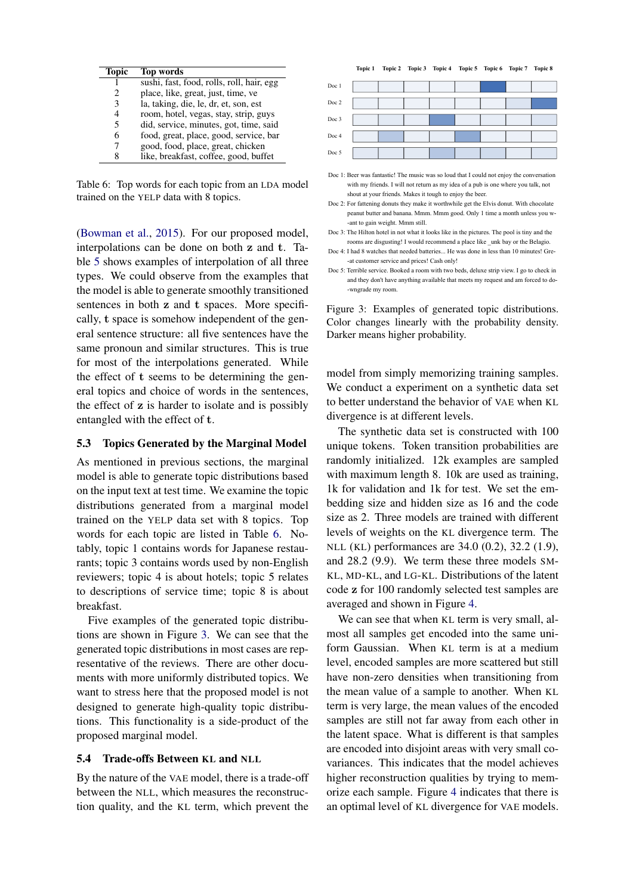<span id="page-7-0"></span>

| Topic          | Top words                                 |
|----------------|-------------------------------------------|
|                | sushi, fast, food, rolls, roll, hair, egg |
| 2              | place, like, great, just, time, ve        |
| 3              | la, taking, die, le, dr, et, son, est     |
| $\overline{4}$ | room, hotel, vegas, stay, strip, guys     |
| 5              | did, service, minutes, got, time, said    |
| 6              | food, great, place, good, service, bar    |
|                | good, food, place, great, chicken         |
| 8              | like, breakfast, coffee, good, buffet     |

Table 6: Top words for each topic from an LDA model trained on the YELP data with 8 topics.

[\(Bowman et al.,](#page-8-2) [2015\)](#page-8-2). For our proposed model, interpolations can be done on both z and t. Table [5](#page-6-1) shows examples of interpolation of all three types. We could observe from the examples that the model is able to generate smoothly transitioned sentences in both z and t spaces. More specifically, t space is somehow independent of the general sentence structure: all five sentences have the same pronoun and similar structures. This is true for most of the interpolations generated. While the effect of t seems to be determining the general topics and choice of words in the sentences, the effect of z is harder to isolate and is possibly entangled with the effect of t.

#### 5.3 Topics Generated by the Marginal Model

As mentioned in previous sections, the marginal model is able to generate topic distributions based on the input text at test time. We examine the topic distributions generated from a marginal model trained on the YELP data set with 8 topics. Top words for each topic are listed in Table [6.](#page-7-0) Notably, topic 1 contains words for Japanese restaurants; topic 3 contains words used by non-English reviewers; topic 4 is about hotels; topic 5 relates to descriptions of service time; topic 8 is about breakfast.

Five examples of the generated topic distributions are shown in Figure [3.](#page-7-1) We can see that the generated topic distributions in most cases are representative of the reviews. There are other documents with more uniformly distributed topics. We want to stress here that the proposed model is not designed to generate high-quality topic distributions. This functionality is a side-product of the proposed marginal model.

#### 5.4 Trade-offs Between KL and NLL

By the nature of the VAE model, there is a trade-off between the NLL, which measures the reconstruction quality, and the KL term, which prevent the

<span id="page-7-1"></span>

Doc 1: Beer was fantastic! The music was so loud that I could not enjoy the conversation with my friends. I will not return as my idea of a pub is one where you talk, not shout at your friends. Makes it tough to enjoy the beer.

Figure 3: Examples of generated topic distributions. Color changes linearly with the probability density. Darker means higher probability.

model from simply memorizing training samples. We conduct a experiment on a synthetic data set to better understand the behavior of VAE when KL divergence is at different levels.

The synthetic data set is constructed with 100 unique tokens. Token transition probabilities are randomly initialized. 12k examples are sampled with maximum length 8. 10k are used as training, 1k for validation and 1k for test. We set the embedding size and hidden size as 16 and the code size as 2. Three models are trained with different levels of weights on the KL divergence term. The NLL (KL) performances are 34.0 (0.2), 32.2 (1.9), and 28.2 (9.9). We term these three models SM-KL, MD-KL, and LG-KL. Distributions of the latent code z for 100 randomly selected test samples are averaged and shown in Figure [4.](#page-8-17)

We can see that when KL term is very small, almost all samples get encoded into the same uniform Gaussian. When KL term is at a medium level, encoded samples are more scattered but still have non-zero densities when transitioning from the mean value of a sample to another. When KL term is very large, the mean values of the encoded samples are still not far away from each other in the latent space. What is different is that samples are encoded into disjoint areas with very small covariances. This indicates that the model achieves higher reconstruction qualities by trying to memorize each sample. Figure [4](#page-8-17) indicates that there is an optimal level of KL divergence for VAE models.

Doc 2: For fattening donuts they make it worthwhile get the Elvis donut. With chocolate peanut butter and banana. Mmm. Mmm good. Only 1 time a month unless you w ant to gain weight. Mmm still.

Doc 3: The Hilton hotel in not what it looks like in the pictures. The pool is tiny and the rooms are disgusting! I would recommend a place like \_unk bay or the Belagio.

Doc 4: I had 8 watches that needed batteries... He was done in less than 10 minutes! Gre- -at customer service and prices! Cash only!

Doc 5: Terrible service. Booked a room with two beds, deluxe strip view. I go to check in and they don't have anything available that meets my request and am forced to do- -wngrade my room.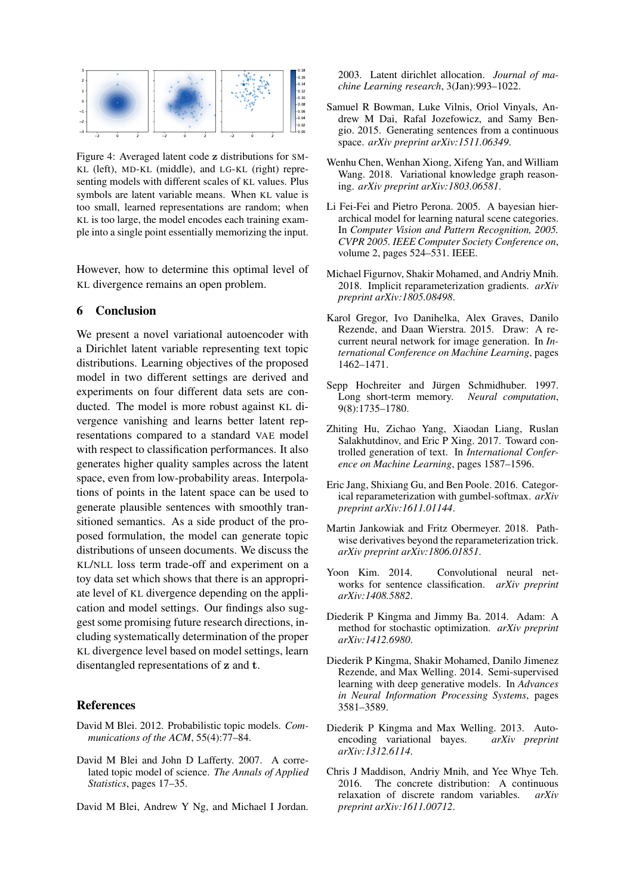<span id="page-8-17"></span>

Figure 4: Averaged latent code z distributions for SM-KL (left), MD-KL (middle), and LG-KL (right) representing models with different scales of KL values. Plus symbols are latent variable means. When KL value is too small, learned representations are random; when KL is too large, the model encodes each training example into a single point essentially memorizing the input.

However, how to determine this optimal level of KL divergence remains an open problem.

# 6 Conclusion

We present a novel variational autoencoder with a Dirichlet latent variable representing text topic distributions. Learning objectives of the proposed model in two different settings are derived and experiments on four different data sets are conducted. The model is more robust against KL divergence vanishing and learns better latent representations compared to a standard VAE model with respect to classification performances. It also generates higher quality samples across the latent space, even from low-probability areas. Interpolations of points in the latent space can be used to generate plausible sentences with smoothly transitioned semantics. As a side product of the proposed formulation, the model can generate topic distributions of unseen documents. We discuss the KL/NLL loss term trade-off and experiment on a toy data set which shows that there is an appropriate level of KL divergence depending on the application and model settings. Our findings also suggest some promising future research directions, including systematically determination of the proper KL divergence level based on model settings, learn disentangled representations of z and t.

# References

- <span id="page-8-9"></span>David M Blei. 2012. Probabilistic topic models. *Communications of the ACM*, 55(4):77–84.
- <span id="page-8-10"></span>David M Blei and John D Lafferty. 2007. A correlated topic model of science. *The Annals of Applied Statistics*, pages 17–35.
- <span id="page-8-12"></span>David M Blei, Andrew Y Ng, and Michael I Jordan.

2003. Latent dirichlet allocation. *Journal of machine Learning research*, 3(Jan):993–1022.

- <span id="page-8-2"></span>Samuel R Bowman, Luke Vilnis, Oriol Vinyals, Andrew M Dai, Rafal Jozefowicz, and Samy Bengio. 2015. Generating sentences from a continuous space. *arXiv preprint arXiv:1511.06349*.
- <span id="page-8-4"></span>Wenhu Chen, Wenhan Xiong, Xifeng Yan, and William Wang. 2018. Variational knowledge graph reasoning. *arXiv preprint arXiv:1803.06581*.
- <span id="page-8-11"></span>Li Fei-Fei and Pietro Perona. 2005. A bayesian hierarchical model for learning natural scene categories. In *Computer Vision and Pattern Recognition, 2005. CVPR 2005. IEEE Computer Society Conference on*, volume 2, pages 524–531. IEEE.
- <span id="page-8-13"></span>Michael Figurnov, Shakir Mohamed, and Andriy Mnih. 2018. Implicit reparameterization gradients. *arXiv preprint arXiv:1805.08498*.
- <span id="page-8-1"></span>Karol Gregor, Ivo Danihelka, Alex Graves, Danilo Rezende, and Daan Wierstra. 2015. Draw: A recurrent neural network for image generation. In *International Conference on Machine Learning*, pages 1462–1471.
- <span id="page-8-3"></span>Sepp Hochreiter and Jürgen Schmidhuber. 1997. Long short-term memory. *Neural computation*, 9(8):1735–1780.
- <span id="page-8-5"></span>Zhiting Hu, Zichao Yang, Xiaodan Liang, Ruslan Salakhutdinov, and Eric P Xing. 2017. Toward controlled generation of text. In *International Conference on Machine Learning*, pages 1587–1596.
- <span id="page-8-7"></span>Eric Jang, Shixiang Gu, and Ben Poole. 2016. Categorical reparameterization with gumbel-softmax. *arXiv preprint arXiv:1611.01144*.
- <span id="page-8-14"></span>Martin Jankowiak and Fritz Obermeyer. 2018. Pathwise derivatives beyond the reparameterization trick. *arXiv preprint arXiv:1806.01851*.
- <span id="page-8-16"></span>Yoon Kim. 2014. Convolutional neural networks for sentence classification. *arXiv preprint arXiv:1408.5882*.
- <span id="page-8-15"></span>Diederik P Kingma and Jimmy Ba. 2014. Adam: A method for stochastic optimization. *arXiv preprint arXiv:1412.6980*.
- <span id="page-8-6"></span>Diederik P Kingma, Shakir Mohamed, Danilo Jimenez Rezende, and Max Welling. 2014. Semi-supervised learning with deep generative models. In *Advances in Neural Information Processing Systems*, pages 3581–3589.
- <span id="page-8-0"></span>Diederik P Kingma and Max Welling. 2013. Autoencoding variational bayes. *arXiv preprint arXiv:1312.6114*.
- <span id="page-8-8"></span>Chris J Maddison, Andriy Mnih, and Yee Whye Teh. 2016. The concrete distribution: A continuous relaxation of discrete random variables. *arXiv preprint arXiv:1611.00712*.